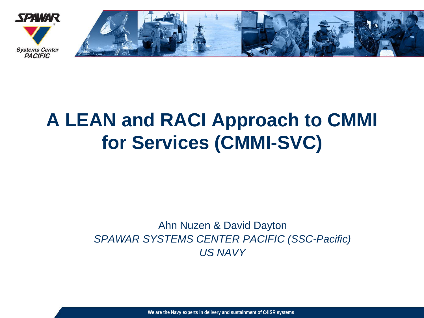

## **A LEAN and RACI Approach to CMMI for Services (CMMI-SVC)**

#### Ahn Nuzen & David Dayton *SPAWAR SYSTEMS CENTER PACIFIC (SSC-Pacific) US NAVY*

**We are the Navy experts in delivery and sustainment of C4ISR systems**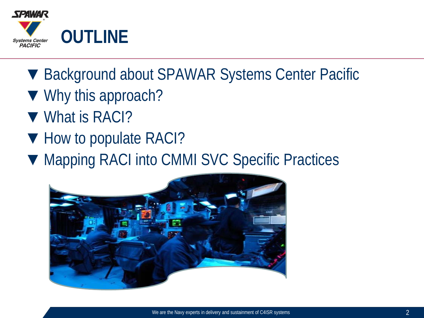

- ▼ Background about SPAWAR Systems Center Pacific
- ▼ Why this approach?
- ▼ What is RACI?
- ▼ How to populate RACI?
- ▼ Mapping RACI into CMMI SVC Specific Practices

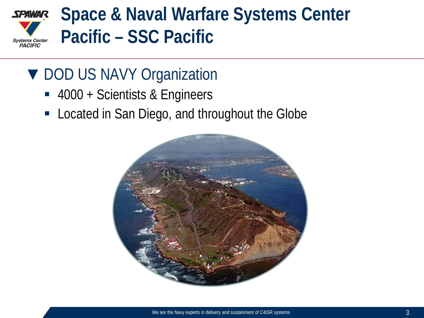

### ▼ DOD US NAVY Organization

- 4000 + Scientists & Engineers
- Located in San Diego, and throughout the Globe

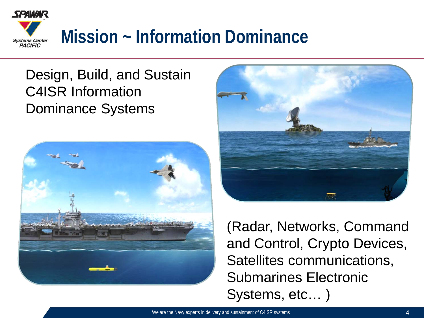

### Design, Build, and Sustain C4ISR Information Dominance Systems





(Radar, Networks, Command and Control, Crypto Devices, Satellites communications, Submarines Electronic Systems, etc… )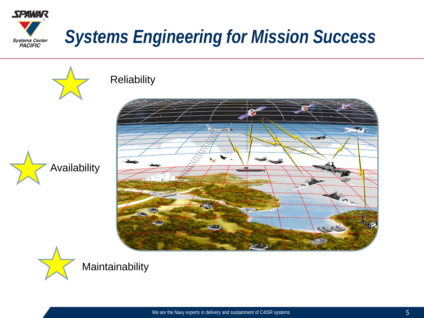



#### **Reliability**





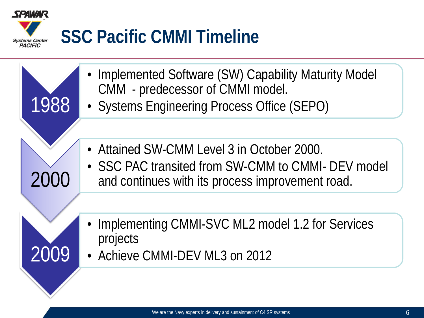

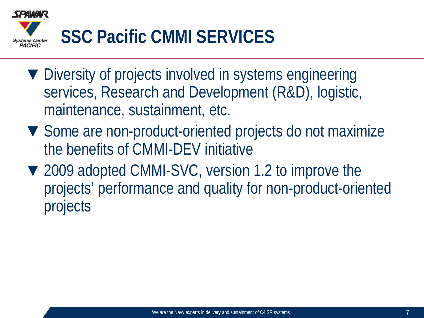

- ▼ Diversity of projects involved in systems engineering services, Research and Development (R&D), logistic, maintenance, sustainment, etc.
- ▼ Some are non-product-oriented projects do not maximize the benefits of CMMI-DEV initiative
- ▼ 2009 adopted CMMI-SVC, version 1.2 to improve the projects' performance and quality for non-product-oriented projects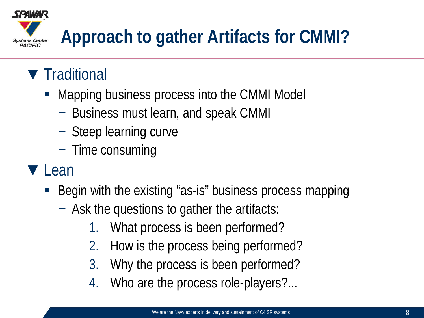

## ▼ Traditional

- Mapping business process into the CMMI Model
	- − Business must learn, and speak CMMI
	- − Steep learning curve
	- − Time consuming
- ▼ Lean
	- Begin with the existing "as-is" business process mapping
		- − Ask the questions to gather the artifacts:
			- 1. What process is been performed?
			- 2. How is the process being performed?
			- 3. Why the process is been performed?
			- 4. Who are the process role-players?...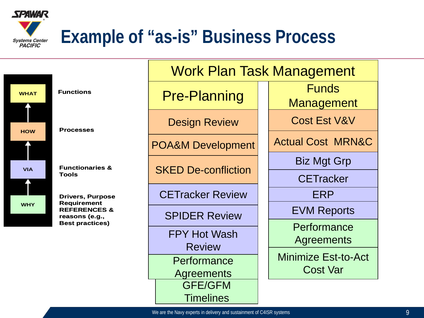

## **Example of "as-is" Business Process**

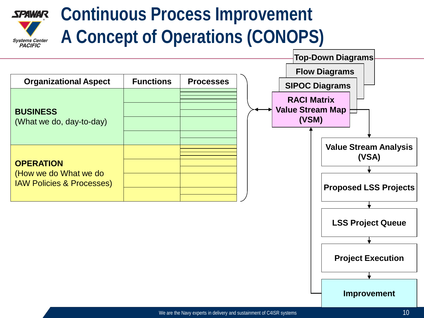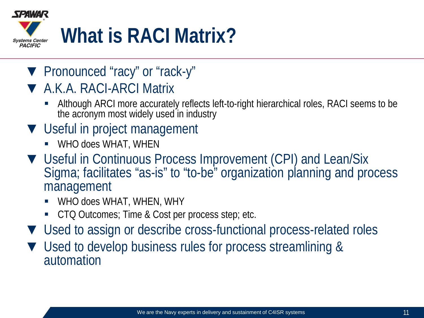

- ▼ Pronounced "racy" or "rack-y"
- ▼ A.K.A. RACI-ARCI Matrix
	- Although ARCI more accurately reflects left-to-right hierarchical roles, RACI seems to be the acronym most widely used in industry
- ▼ Useful in project management
	- WHO does WHAT, WHEN
- ▼ Useful in Continuous Process Improvement (CPI) and Lean/Six Sigma; facilitates "as-is" to "to-be" organization planning and process management
	- WHO does WHAT, WHEN, WHY
	- CTQ Outcomes; Time & Cost per process step; etc.
- ▼ Used to assign or describe cross-functional process-related roles
- ▼ Used to develop business rules for process streamlining & automation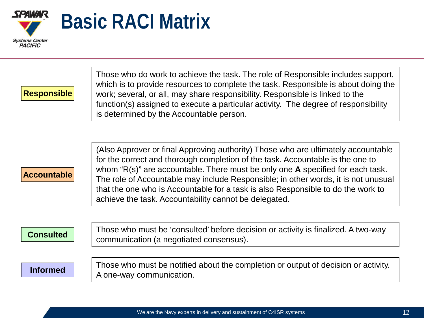

**Responsible**

Those who do work to achieve the task. The role of Responsible includes support, which is to provide resources to complete the task. Responsible is about doing the work; several, or all, may share responsibility. Responsible is linked to the function(s) assigned to execute a particular activity. The degree of responsibility is determined by the Accountable person.

#### **Accountable**

(Also Approver or final Approving authority) Those who are ultimately accountable for the correct and thorough completion of the task. Accountable is the one to whom "R(s)" are accountable. There must be only one **A** specified for each task. The role of Accountable may include Responsible; in other words, it is not unusual that the one who is Accountable for a task is also Responsible to do the work to achieve the task. Accountability cannot be delegated.

#### **Consulted**

Those who must be 'consulted' before decision or activity is finalized. A two-way communication (a negotiated consensus).

#### **Informed**

Those who must be notified about the completion or output of decision or activity. A one-way communication.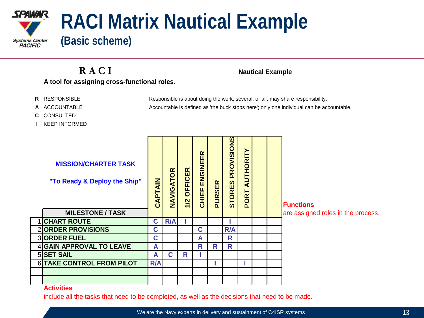

**R A C I Nautical Example A tool for assigning cross-functional roles.**

- **R** RESPONSIBLE Responsible is about doing the work; several, or all, may share responsibility.
- **A** ACCOUNTABLE Accountable is defined as 'the buck stops here'; only one individual can be accountable.
- **C** CONSULTED
- **I** KEEP INFORMED

| <b>MISSION/CHARTER TASK</b><br>"To Ready & Deploy the Ship"<br><b>MILESTONE / TASK</b> | CAPTAIN     | NAVIGATOR | <b>OFFICER</b><br>1/2 | CHIEF ENGINEER | <b>PURSER</b> | PROVISIONS<br><b>STORES</b> | <b>AUTHORITY</b><br>PORT |  | <b>Functions</b><br>are assigned roles in the process. |
|----------------------------------------------------------------------------------------|-------------|-----------|-----------------------|----------------|---------------|-----------------------------|--------------------------|--|--------------------------------------------------------|
| <b>CHART ROUTE</b>                                                                     | $\mathbf c$ | R/A       |                       |                |               |                             |                          |  |                                                        |
| 2 ORDER PROVISIONS                                                                     | C           |           |                       | C              |               | R/A                         |                          |  |                                                        |
| 3 ORDER FUEL                                                                           | C           |           |                       | A              |               | R                           |                          |  |                                                        |
| 4 GAIN APPROVAL TO LEAVE                                                               | A           |           |                       | R              | R             | R                           |                          |  |                                                        |
| 5 SET SAIL                                                                             | A           | C         | R                     |                |               |                             |                          |  |                                                        |
| 6 TAKE CONTROL FROM PILOT                                                              | R/A         |           |                       |                |               |                             |                          |  |                                                        |
|                                                                                        |             |           |                       |                |               |                             |                          |  |                                                        |
|                                                                                        |             |           |                       |                |               |                             |                          |  |                                                        |

#### **Activities**

include all the tasks that need to be completed, as well as the decisions that need to be made.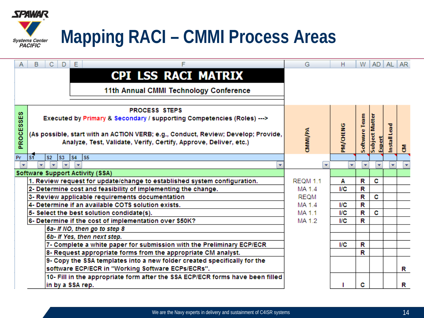

| A         | B<br>C.<br>E.<br>D<br>F                                                           | G               | H               | W                        | AD AL AR       |                     |   |
|-----------|-----------------------------------------------------------------------------------|-----------------|-----------------|--------------------------|----------------|---------------------|---|
|           | <b>CPI LSS RACI MATRIX</b>                                                        |                 |                 |                          |                |                     |   |
|           |                                                                                   |                 |                 |                          |                |                     |   |
|           | 11th Annual CMMI Technology Conference                                            |                 |                 |                          |                |                     |   |
|           |                                                                                   |                 |                 |                          |                |                     |   |
|           | <b>PROCESS STEPS</b>                                                              |                 |                 |                          |                |                     |   |
| PROCESSES | Executed by Primary & Secondary / supporting Competencies (Roles) --->            |                 |                 |                          |                |                     |   |
|           |                                                                                   |                 |                 | Software Team            | Subject Matter |                     |   |
|           | (As possible, start with an ACTION VERB; e.g., Conduct, Review; Develop; Provide, |                 |                 |                          |                |                     |   |
|           | Analyze, Test, Validate, Verify, Certify, Approve, Deliver, etc.)                 | <b>CAMMIVE</b>  | <b>PM/CHENG</b> |                          | Expert         | <b>Install Lead</b> |   |
|           |                                                                                   |                 |                 |                          |                |                     | δ |
| Pr        | S1<br>S5<br><b>S2</b><br><b>S3</b><br><b>S4</b>                                   |                 |                 |                          |                |                     |   |
| ÷         | ÷<br>÷<br>$\overline{\mathbf{v}}$<br>÷                                            | ÷               | ÷               | $\overline{\phantom{a}}$ | ÷              | ÷.                  | ÷ |
|           | Software Support Activity (SSA)                                                   |                 |                 |                          |                |                     |   |
|           | 1. Review request for update/change to established system configuration.          | <b>REQM 1.1</b> | Α               | R                        | c              |                     |   |
|           | 2- Determine cost and feasibility of implementing the change.                     | MA 1.4          | I/C             | R                        |                |                     |   |
|           | 3- Review applicable requirements documentation                                   | <b>REQM</b>     |                 | R                        | C              |                     |   |
|           | 4- Determine if an available COTS solution exists.                                | MA 1.4          | I/C             | R                        |                |                     |   |
|           | 5- Select the best solution condidate(s).                                         | MA 1.1          | I/C             | R                        | C              |                     |   |
|           | 6- Determine if the cost of implementation over \$50K?                            | MA 1.2          | I/C             | R                        |                |                     |   |
|           | 6a- If NO, then go to step 8                                                      |                 |                 |                          |                |                     |   |
|           | 6b- If Yes, then next step.                                                       |                 |                 |                          |                |                     |   |
|           | 7- Complete a white paper for submission with the Preliminary ECP/ECR             |                 | <b>I/C</b>      | R                        |                |                     |   |
|           | 8- Request appropriate forms from the appropriate CM analyst.                     |                 |                 | R                        |                |                     |   |
|           | 9- Copy the SSA templates into a new folder created specifically for the          |                 |                 |                          |                |                     |   |
|           | software ECP/ECR in "Working Software ECPs/ECRs".                                 |                 |                 |                          |                |                     | R |
|           | 10- Fill in the appropriate form after the SSA ECP/ECR forms have been filled     |                 |                 |                          |                |                     |   |
|           | in by a SSA rep.                                                                  |                 |                 | с                        |                |                     | R |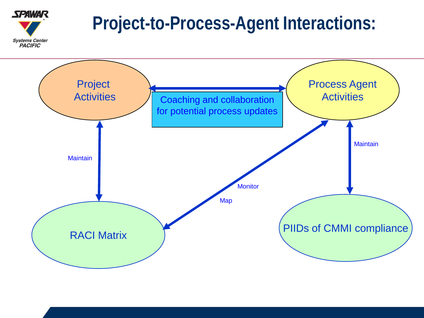# **Project-to-Process-Agent Interactions:**



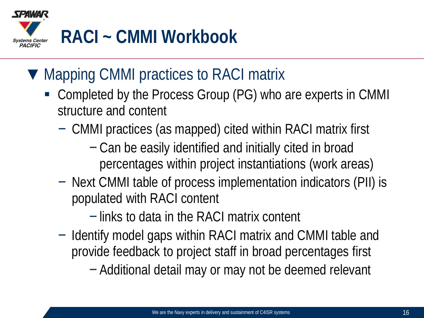

### ▼ Mapping CMMI practices to RACI matrix

- Completed by the Process Group (PG) who are experts in CMMI structure and content
	- − CMMI practices (as mapped) cited within RACI matrix first
		- − Can be easily identified and initially cited in broad percentages within project instantiations (work areas)
	- − Next CMMI table of process implementation indicators (PII) is populated with RACI content
		- − links to data in the RACI matrix content
	- − Identify model gaps within RACI matrix and CMMI table and provide feedback to project staff in broad percentages first
		- − Additional detail may or may not be deemed relevant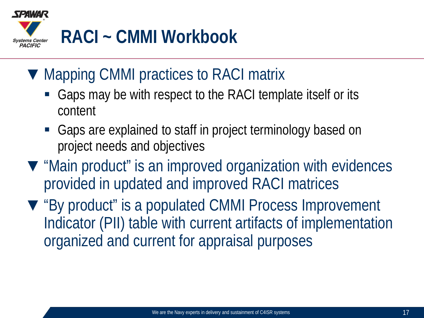

### ▼ Mapping CMMI practices to RACI matrix

- Gaps may be with respect to the RACI template itself or its content
- Gaps are explained to staff in project terminology based on project needs and objectives
- ▼ "Main product" is an improved organization with evidences provided in updated and improved RACI matrices
- ▼ "By product" is a populated CMMI Process Improvement Indicator (PII) table with current artifacts of implementation organized and current for appraisal purposes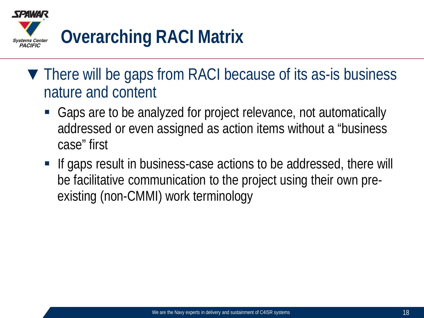

- ▼ There will be gaps from RACI because of its as-is business nature and content
	- Gaps are to be analyzed for project relevance, not automatically addressed or even assigned as action items without a "business case" first
	- If gaps result in business-case actions to be addressed, there will be facilitative communication to the project using their own preexisting (non-CMMI) work terminology